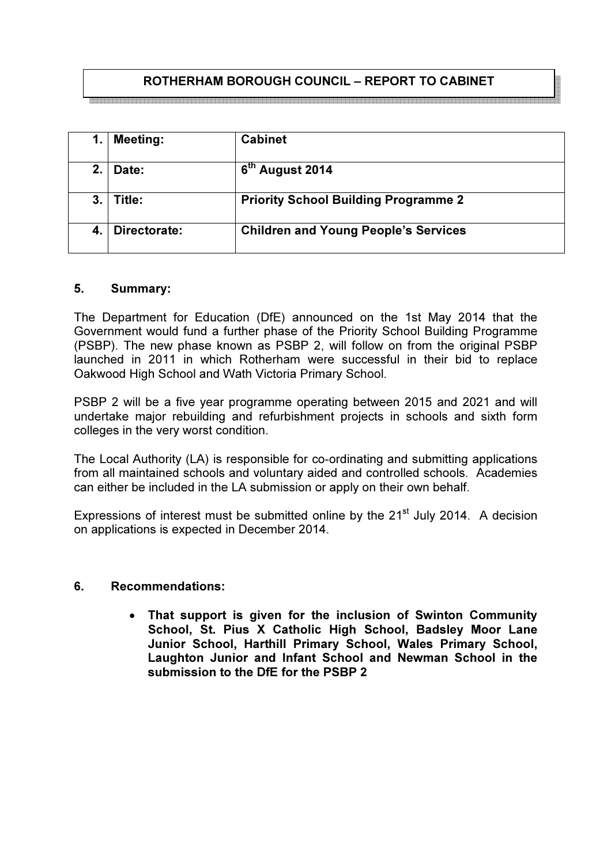# ROTHERHAM BOROUGH COUNCIL – REPORT TO CABINET

|    | <b>Meeting:</b> | <b>Cabinet</b>                              |
|----|-----------------|---------------------------------------------|
| 2. | Date:           | 6 <sup>th</sup> August 2014                 |
| 3. | Title:          | <b>Priority School Building Programme 2</b> |
|    | Directorate:    | <b>Children and Young People's Services</b> |

## 5. Summary:

The Department for Education (DfE) announced on the 1st May 2014 that the Government would fund a further phase of the Priority School Building Programme (PSBP). The new phase known as PSBP 2, will follow on from the original PSBP launched in 2011 in which Rotherham were successful in their bid to replace Oakwood High School and Wath Victoria Primary School.

PSBP 2 will be a five year programme operating between 2015 and 2021 and will undertake major rebuilding and refurbishment projects in schools and sixth form colleges in the very worst condition.

The Local Authority (LA) is responsible for co-ordinating and submitting applications from all maintained schools and voluntary aided and controlled schools. Academies can either be included in the LA submission or apply on their own behalf.

Expressions of interest must be submitted online by the 21<sup>st</sup> July 2014. A decision on applications is expected in December 2014.

#### 6. Recommendations:

That support is given for the inclusion of Swinton Community School, St. Pius X Catholic High School, Badsley Moor Lane Junior School, Harthill Primary School, Wales Primary School, Laughton Junior and Infant School and Newman School in the submission to the DfE for the PSBP 2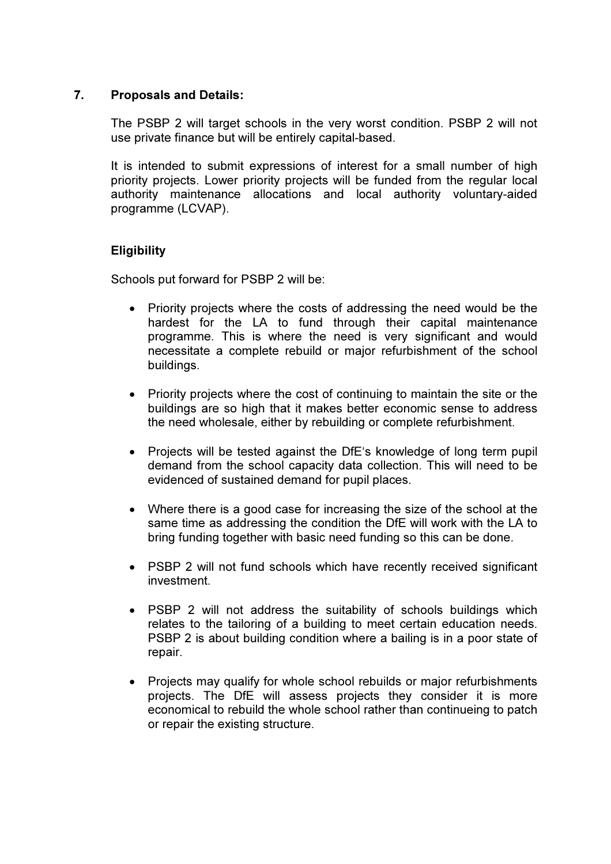# 7. Proposals and Details:

The PSBP 2 will target schools in the very worst condition. PSBP 2 will not use private finance but will be entirely capital-based.

It is intended to submit expressions of interest for a small number of high priority projects. Lower priority projects will be funded from the regular local authority maintenance allocations and local authority voluntary-aided programme (LCVAP).

# Eligibility

Schools put forward for PSBP 2 will be:

- Priority projects where the costs of addressing the need would be the hardest for the LA to fund through their capital maintenance programme. This is where the need is very significant and would necessitate a complete rebuild or major refurbishment of the school buildings.
- Priority projects where the cost of continuing to maintain the site or the buildings are so high that it makes better economic sense to address the need wholesale, either by rebuilding or complete refurbishment.
- Projects will be tested against the DfE's knowledge of long term pupil demand from the school capacity data collection. This will need to be evidenced of sustained demand for pupil places.
- Where there is a good case for increasing the size of the school at the same time as addressing the condition the DfE will work with the LA to bring funding together with basic need funding so this can be done.
- PSBP 2 will not fund schools which have recently received significant investment.
- PSBP 2 will not address the suitability of schools buildings which relates to the tailoring of a building to meet certain education needs. PSBP 2 is about building condition where a bailing is in a poor state of repair.
- Projects may qualify for whole school rebuilds or major refurbishments projects. The DfE will assess projects they consider it is more economical to rebuild the whole school rather than continueing to patch or repair the existing structure.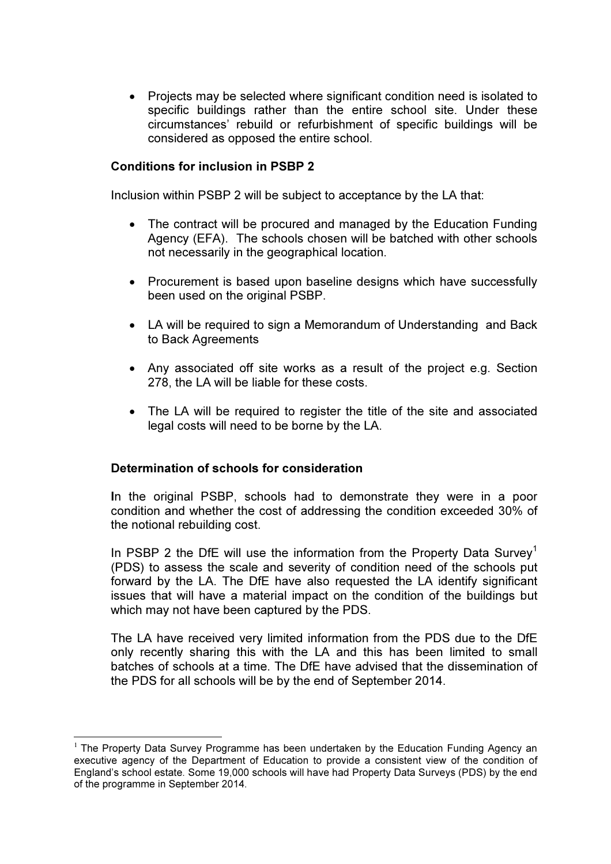• Projects may be selected where significant condition need is isolated to specific buildings rather than the entire school site. Under these circumstances' rebuild or refurbishment of specific buildings will be considered as opposed the entire school.

# Conditions for inclusion in PSBP 2

Inclusion within PSBP 2 will be subject to acceptance by the LA that:

- The contract will be procured and managed by the Education Funding Agency (EFA). The schools chosen will be batched with other schools not necessarily in the geographical location.
- Procurement is based upon baseline designs which have successfully been used on the original PSBP.
- LA will be required to sign a Memorandum of Understanding and Back to Back Agreements
- Any associated off site works as a result of the project e.g. Section 278, the LA will be liable for these costs.
- The LA will be required to register the title of the site and associated legal costs will need to be borne by the LA.

# Determination of schools for consideration

 $\overline{a}$ 

In the original PSBP, schools had to demonstrate they were in a poor condition and whether the cost of addressing the condition exceeded 30% of the notional rebuilding cost.

In PSBP 2 the DfE will use the information from the Property Data Survey<sup>1</sup> (PDS) to assess the scale and severity of condition need of the schools put forward by the LA. The DfE have also requested the LA identify significant issues that will have a material impact on the condition of the buildings but which may not have been captured by the PDS.

The LA have received very limited information from the PDS due to the DfE only recently sharing this with the LA and this has been limited to small batches of schools at a time. The DfE have advised that the dissemination of the PDS for all schools will be by the end of September 2014.

<sup>1</sup> The Property Data Survey Programme has been undertaken by the Education Funding Agency an executive agency of the Department of Education to provide a consistent view of the condition of England's school estate. Some 19,000 schools will have had Property Data Surveys (PDS) by the end of the programme in September 2014.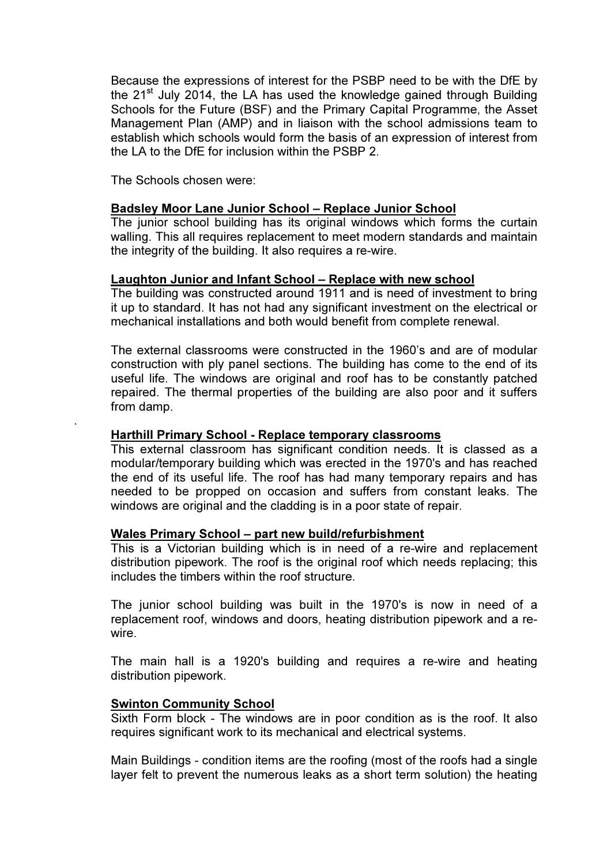Because the expressions of interest for the PSBP need to be with the DfE by the 21<sup>st</sup> July 2014, the LA has used the knowledge gained through Building Schools for the Future (BSF) and the Primary Capital Programme, the Asset Management Plan (AMP) and in liaison with the school admissions team to establish which schools would form the basis of an expression of interest from the LA to the DfE for inclusion within the PSBP 2.

The Schools chosen were:

.

#### Badsley Moor Lane Junior School – Replace Junior School

The junior school building has its original windows which forms the curtain walling. This all requires replacement to meet modern standards and maintain the integrity of the building. It also requires a re-wire.

#### Laughton Junior and Infant School – Replace with new school

The building was constructed around 1911 and is need of investment to bring it up to standard. It has not had any significant investment on the electrical or mechanical installations and both would benefit from complete renewal.

The external classrooms were constructed in the 1960's and are of modular construction with ply panel sections. The building has come to the end of its useful life. The windows are original and roof has to be constantly patched repaired. The thermal properties of the building are also poor and it suffers from damp.

#### Harthill Primary School - Replace temporary classrooms

This external classroom has significant condition needs. It is classed as a modular/temporary building which was erected in the 1970's and has reached the end of its useful life. The roof has had many temporary repairs and has needed to be propped on occasion and suffers from constant leaks. The windows are original and the cladding is in a poor state of repair.

#### Wales Primary School – part new build/refurbishment

This is a Victorian building which is in need of a re-wire and replacement distribution pipework. The roof is the original roof which needs replacing; this includes the timbers within the roof structure.

The junior school building was built in the 1970's is now in need of a replacement roof, windows and doors, heating distribution pipework and a rewire.

The main hall is a 1920's building and requires a re-wire and heating distribution pipework.

#### Swinton Community School

Sixth Form block - The windows are in poor condition as is the roof. It also requires significant work to its mechanical and electrical systems.

Main Buildings - condition items are the roofing (most of the roofs had a single layer felt to prevent the numerous leaks as a short term solution) the heating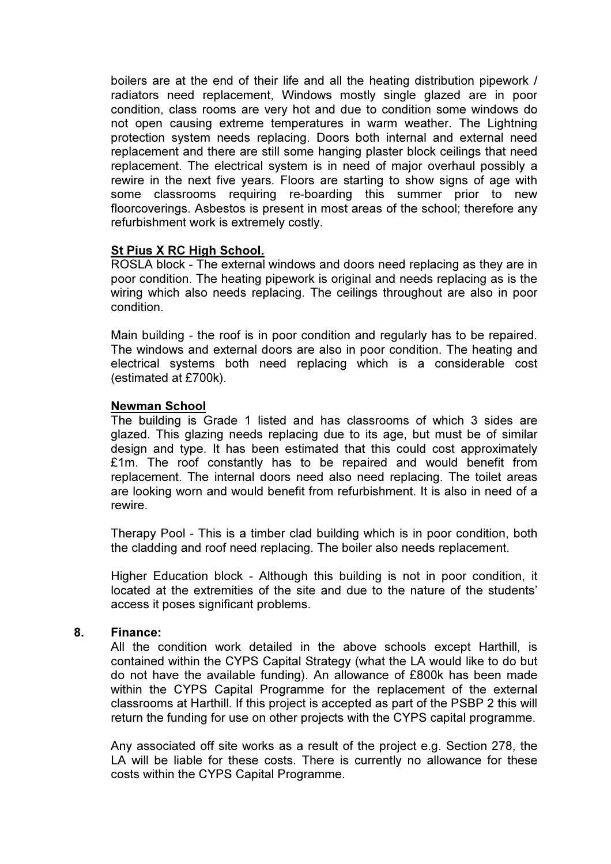boilers are at the end of their life and all the heating distribution pipework / radiators need replacement, Windows mostly single glazed are in poor condition, class rooms are very hot and due to condition some windows do not open causing extreme temperatures in warm weather. The Lightning protection system needs replacing. Doors both internal and external need replacement and there are still some hanging plaster block ceilings that need replacement. The electrical system is in need of major overhaul possibly a rewire in the next five years. Floors are starting to show signs of age with some classrooms requiring re-boarding this summer prior to new floorcoverings. Asbestos is present in most areas of the school; therefore any refurbishment work is extremely costly.

## St Pius X RC High School.

ROSLA block - The external windows and doors need replacing as they are in poor condition. The heating pipework is original and needs replacing as is the wiring which also needs replacing. The ceilings throughout are also in poor condition.

Main building - the roof is in poor condition and regularly has to be repaired. The windows and external doors are also in poor condition. The heating and electrical systems both need replacing which is a considerable cost (estimated at £700k).

## Newman School

The building is Grade 1 listed and has classrooms of which 3 sides are glazed. This glazing needs replacing due to its age, but must be of similar design and type. It has been estimated that this could cost approximately £1m. The roof constantly has to be repaired and would benefit from replacement. The internal doors need also need replacing. The toilet areas are looking worn and would benefit from refurbishment. It is also in need of a rewire.

Therapy Pool - This is a timber clad building which is in poor condition, both the cladding and roof need replacing. The boiler also needs replacement.

Higher Education block - Although this building is not in poor condition, it located at the extremities of the site and due to the nature of the students' access it poses significant problems.

#### 8. Finance:

All the condition work detailed in the above schools except Harthill, is contained within the CYPS Capital Strategy (what the LA would like to do but do not have the available funding). An allowance of £800k has been made within the CYPS Capital Programme for the replacement of the external classrooms at Harthill. If this project is accepted as part of the PSBP 2 this will return the funding for use on other projects with the CYPS capital programme.

Any associated off site works as a result of the project e.g. Section 278, the LA will be liable for these costs. There is currently no allowance for these costs within the CYPS Capital Programme.